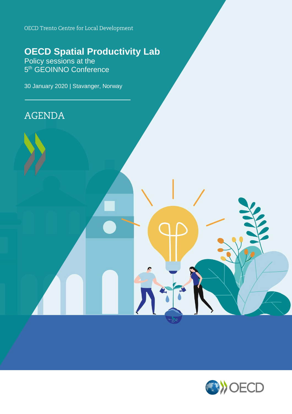OECD Trento Centre for Local Development

# **OECD Spatial Productivity Lab**

Policy sessions at the 5<sup>th</sup> GEOINNO Conference

30 January 2020 | Stavanger, Norway

**AGENDA** 

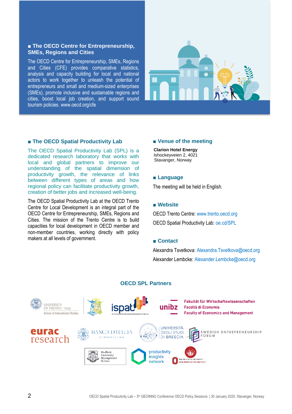#### **■ The OECD Centre for Entrepreneurship, SMEs, Regions and Cities**

The OECD Centre for Entrepreneurship, SMEs, Regions and Cities (CFE) provides comparative statistics, analysis and capacity building for local and national actors to work together to unleash the potential of entrepreneurs and small and medium-sized enterprises (SMEs), promote inclusive and sustainable regions and cities, boost local job creation, and support sound tourism policies. www.oecd.org/cfe



#### **■ The OECD Spatial Productivity Lab**

The OECD Spatial Productivity Lab (SPL) is a dedicated research laboratory that works with local and global partners to improve our understanding of the spatial dimension of productivity growth, the relevance of links between different types of areas and how regional policy can facilitate productivity growth, creation of better jobs and increased well-being.

The OECD Spatial Productivity Lab at the OECD Trento Centre for Local Development is an integral part of the OECD Centre for Entrepreneurship, SMEs, Regions and Cities. The mission of the Trento Centre is to build capacities for local development in OECD member and non-member countries, working directly with policy makers at all levels of government.

#### **■ Venue of the meeting**

**Clarion Hotel Energy** Ishockeyveien 2, 4021 Stavanger, Norway

#### **■ Language**

The meeting will be held in English.

#### **■ Website**

OECD Trento Centre: [www.trento.oecd.org](http://www.trento.oecd.org/) OECD Spatial Productivity Lab: [oe.cd/SPL](http://oe.cd/SPL)

#### **■ Contact**

Alexandra Tsvetkova: [Alexandra.Tsvetkova@oecd.org](mailto:Alexandra.TSVETKOVA@oecd.org) Alexander Lembcke: [Alexander.Lembcke@oecd.org](mailto:Alexander.Lembcke@oecd.org)



#### **OECD SPL Partners**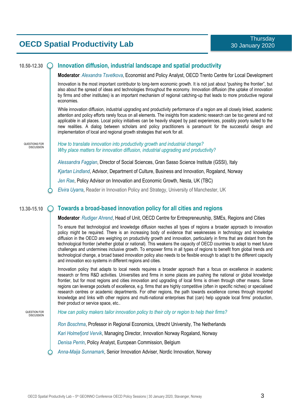## **OECD Spatial Productivity Lab**

#### **10.50-12.30 Innovation diffusion, industrial landscape and spatial productivity**

**Moderator**: *Alexandra Tsvetkova*, Economist and Policy Analyst, OECD Trento Centre for Local Development

Innovation is the most important contributor to long-term economic growth. It is not just about "pushing the frontier", but also about the spread of ideas and technologies throughout the economy. Innovation diffusion (the uptake of innovation by firms and other institutes) is an important mechanism of regional catching-up that leads to more productive regional economies.

While innovation diffusion, industrial upgrading and productivity performance of a region are all closely linked, academic attention and policy efforts rarely focus on all elements. The insights from academic research can be too general and not applicable in all places. Local policy initiatives can be heavily shaped by past experiences, possibly poorly suited to the new realities. A dialog between scholars and policy practitioners is paramount for the successful design and implementation of local and regional growth strategies that work for all.

QUESTIONS FOR **DISCUSSION**  *How to translate innovation into productivity growth and industrial change? Why place matters for innovation diffusion, industrial upgrading and productivity?*

*Alessandra Faggian*, Director of Social Sciences, Gran Sasso Science Institute (GSSI), Italy

*Kjartan Lindland*, Advisor, Department of Culture, Business and Innovation, Rogaland, Norway

*Jen Rae*, Policy Advisor on Innovation and Economic Growth, Nesta, UK (TBC)

*Elvira Uyarra*, Reader in Innovation Policy and Strategy, University of Manchester, UK

#### **13.30-15.10 Towards a broad-based innovation policy for all cities and regions**

**Moderator**: *Rudiger Ahrend*, Head of Unit, OECD Centre for Entrepreneurship, SMEs, Regions and Cities

To ensure that technological and knowledge diffusion reaches all types of regions a broader approach to innovation policy might be required. There is an increasing body of evidence that weaknesses in technology and knowledge diffusion in the OECD are weighing on productivity growth and innovation, particularly in firms that are distant from the technological frontier (whether global or national). This weakens the capacity of OECD countries to adapt to meet future challenges and undermines inclusive growth. To empower firms in all types of regions to benefit from global trends and technological change, a broad based innovation policy also needs to be flexible enough to adapt to the different capacity and innovation eco systems in different regions and cities.

Innovation policy that adapts to local needs requires a broader approach than a focus on excellence in academic research or firms R&D activities. Universities and firms in some places are pushing the national or global knowledge frontier, but for most regions and cities innovation and upgrading of local firms is driven through other means. Some regions can leverage pockets of excellence, e.g. firms that are highly competitive (often in specific niches) or specialised research centres or academic departments. For other regions, the path towards excellence comes through imported knowledge and links with other regions and multi-national enterprises that (can) help upgrade local firms' production, their product or service space, etc..

QUESTION FOR **DISCUSSION**  *How can policy makers tailor innovation policy to their city or region to help their firms?*

*Ron Boschma*, Professor in Regional Economics, Utrecht University, The Netherlands

*Kari Holmefjord Vervik*, Managing Director, Innovation Norway Rogaland, Norway

*Denisa Perrin*, Policy Analyst, European Commission, Belgium

*Anna-Maija Sunnamark*, Senior Innovation Adviser, Nordic Innovation, Norway